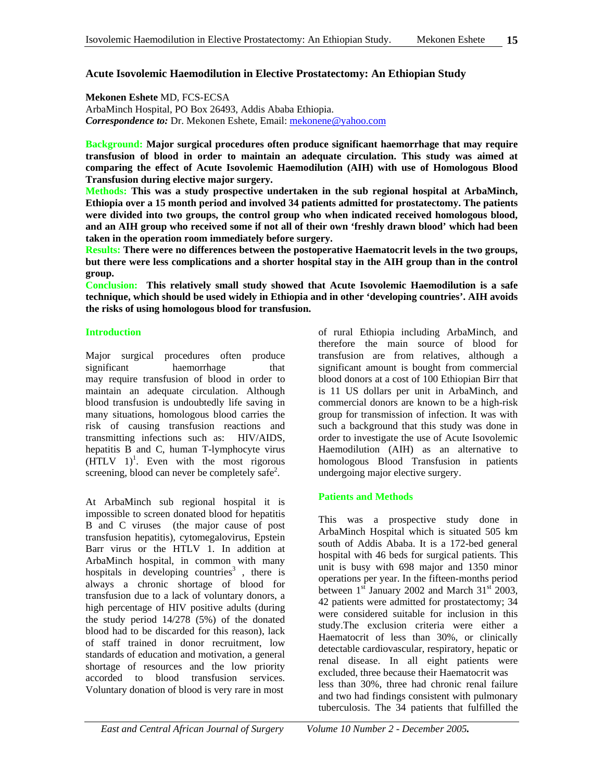## **Acute Isovolemic Haemodilution in Elective Prostatectomy: An Ethiopian Study**

**Mekonen Eshete** MD, FCS-ECSA ArbaMinch Hospital, PO Box 26493, Addis Ababa Ethiopia. *Correspondence to:* Dr. Mekonen Eshete, Email: mekonene@yahoo.com

**Background: Major surgical procedures often produce significant haemorrhage that may require transfusion of blood in order to maintain an adequate circulation. This study was aimed at comparing the effect of Acute Isovolemic Haemodilution (AIH) with use of Homologous Blood Transfusion during elective major surgery.** 

**Methods: This was a study prospective undertaken in the sub regional hospital at ArbaMinch, Ethiopia over a 15 month period and involved 34 patients admitted for prostatectomy. The patients were divided into two groups, the control group who when indicated received homologous blood, and an AIH group who received some if not all of their own 'freshly drawn blood' which had been taken in the operation room immediately before surgery.** 

**Results: There were no differences between the postoperative Haematocrit levels in the two groups, but there were less complications and a shorter hospital stay in the AIH group than in the control group.** 

**Conclusion: This relatively small study showed that Acute Isovolemic Haemodilution is a safe technique, which should be used widely in Ethiopia and in other 'developing countries'. AIH avoids the risks of using homologous blood for transfusion.** 

#### **Introduction**

Major surgical procedures often produce significant haemorrhage that may require transfusion of blood in order to maintain an adequate circulation. Although blood transfusion is undoubtedly life saving in many situations, homologous blood carries the risk of causing transfusion reactions and transmitting infections such as: HIV/AIDS, hepatitis B and C, human T-lymphocyte virus  $(HTLV 1)<sup>1</sup>$ . Even with the most rigorous screening, blood can never be completely safe<sup>2</sup>.

At ArbaMinch sub regional hospital it is impossible to screen donated blood for hepatitis B and C viruses (the major cause of post transfusion hepatitis), cytomegalovirus, Epstein Barr virus or the HTLV 1. In addition at ArbaMinch hospital, in common with many hospitals in developing countries<sup>3</sup>, there is always a chronic shortage of blood for transfusion due to a lack of voluntary donors, a high percentage of HIV positive adults (during the study period 14/278 (5%) of the donated blood had to be discarded for this reason), lack of staff trained in donor recruitment, low standards of education and motivation, a general shortage of resources and the low priority accorded to blood transfusion services. Voluntary donation of blood is very rare in most

of rural Ethiopia including ArbaMinch, and therefore the main source of blood for transfusion are from relatives, although a significant amount is bought from commercial blood donors at a cost of 100 Ethiopian Birr that is 11 US dollars per unit in ArbaMinch, and commercial donors are known to be a high-risk group for transmission of infection. It was with such a background that this study was done in order to investigate the use of Acute Isovolemic Haemodilution (AIH) as an alternative to homologous Blood Transfusion in patients undergoing major elective surgery.

### **Patients and Methods**

This was a prospective study done in ArbaMinch Hospital which is situated 505 km south of Addis Ababa. It is a 172-bed general hospital with 46 beds for surgical patients. This unit is busy with 698 major and 1350 minor operations per year. In the fifteen-months period between  $1<sup>st</sup>$  January 2002 and March  $31<sup>st</sup>$  2003, 42 patients were admitted for prostatectomy; 34 were considered suitable for inclusion in this study.The exclusion criteria were either a Haematocrit of less than 30%, or clinically detectable cardiovascular, respiratory, hepatic or renal disease. In all eight patients were excluded, three because their Haematocrit was less than 30%, three had chronic renal failure and two had findings consistent with pulmonary tuberculosis. The 34 patients that fulfilled the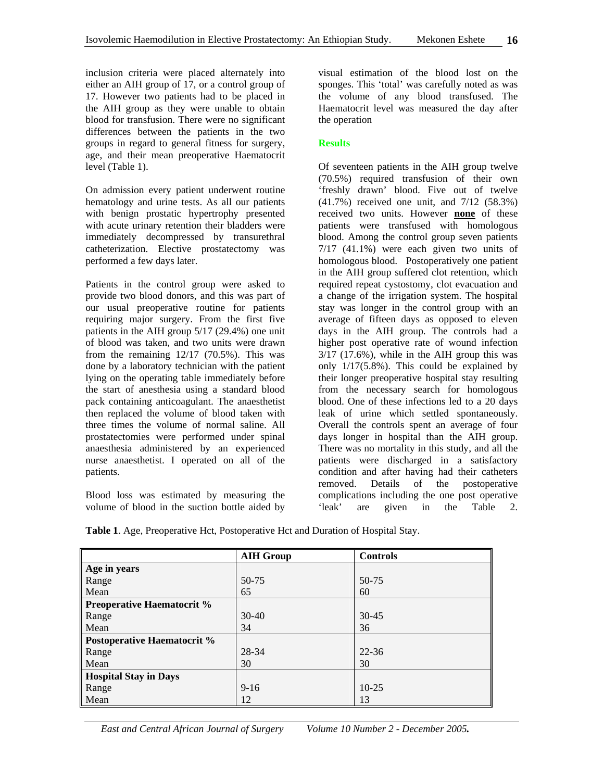inclusion criteria were placed alternately into either an AIH group of 17, or a control group of 17. However two patients had to be placed in the AIH group as they were unable to obtain blood for transfusion. There were no significant differences between the patients in the two groups in regard to general fitness for surgery, age, and their mean preoperative Haematocrit level (Table 1).

On admission every patient underwent routine hematology and urine tests. As all our patients with benign prostatic hypertrophy presented with acute urinary retention their bladders were immediately decompressed by transurethral catheterization. Elective prostatectomy was performed a few days later.

Patients in the control group were asked to provide two blood donors, and this was part of our usual preoperative routine for patients requiring major surgery. From the first five patients in the AIH group 5/17 (29.4%) one unit of blood was taken, and two units were drawn from the remaining 12/17 (70.5%). This was done by a laboratory technician with the patient lying on the operating table immediately before the start of anesthesia using a standard blood pack containing anticoagulant. The anaesthetist then replaced the volume of blood taken with three times the volume of normal saline. All prostatectomies were performed under spinal anaesthesia administered by an experienced nurse anaesthetist. I operated on all of the patients.

Blood loss was estimated by measuring the volume of blood in the suction bottle aided by visual estimation of the blood lost on the sponges. This 'total' was carefully noted as was the volume of any blood transfused. The Haematocrit level was measured the day after the operation

#### **Results**

Of seventeen patients in the AIH group twelve (70.5%) required transfusion of their own 'freshly drawn' blood. Five out of twelve (41.7%) received one unit, and 7/12 (58.3%) received two units. However **none** of these patients were transfused with homologous blood. Among the control group seven patients 7/17 (41.1%) were each given two units of homologous blood. Postoperatively one patient in the AIH group suffered clot retention, which required repeat cystostomy, clot evacuation and a change of the irrigation system. The hospital stay was longer in the control group with an average of fifteen days as opposed to eleven days in the AIH group. The controls had a higher post operative rate of wound infection 3/17 (17.6%), while in the AIH group this was only 1/17(5.8%). This could be explained by their longer preoperative hospital stay resulting from the necessary search for homologous blood. One of these infections led to a 20 days leak of urine which settled spontaneously. Overall the controls spent an average of four days longer in hospital than the AIH group. There was no mortality in this study, and all the patients were discharged in a satisfactory condition and after having had their catheters removed. Details of the postoperative complications including the one post operative<br>
'leak' are given in the Table 2. are given in the Table 2.

|                                   | <b>AIH Group</b> | <b>Controls</b> |
|-----------------------------------|------------------|-----------------|
| Age in years                      |                  |                 |
| Range                             | 50-75            | 50-75           |
| Mean                              | 65               | 60              |
| <b>Preoperative Haematocrit %</b> |                  |                 |
| Range                             | $30-40$          | $30 - 45$       |
| Mean                              | 34               | 36              |
| Postoperative Haematocrit %       |                  |                 |
| Range                             | 28-34            | 22-36           |
| Mean                              | 30               | 30              |
| <b>Hospital Stay in Days</b>      |                  |                 |
| Range                             | $9 - 16$         | $10-25$         |
| Mean                              | 12               | 13              |

**Table 1**. Age, Preoperative Hct, Postoperative Hct and Duration of Hospital Stay.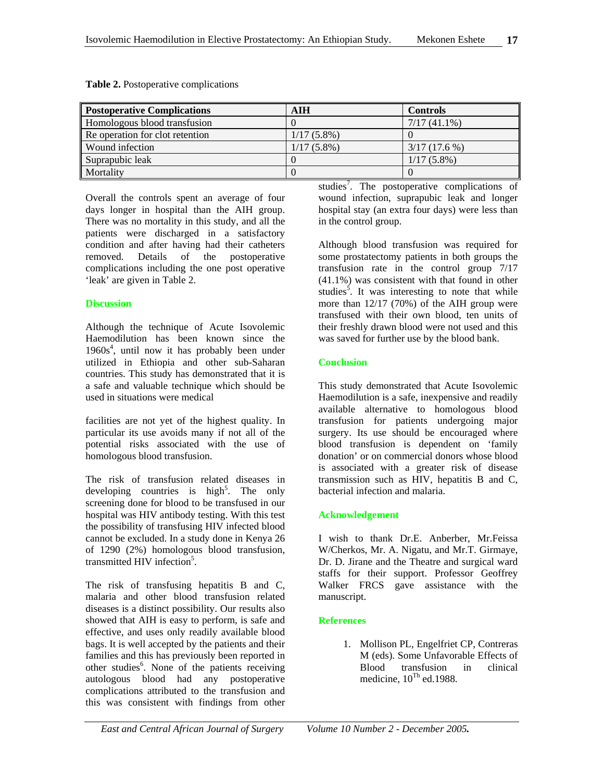| <b>Postoperative Complications</b> | AIH           | <b>Controls</b> |
|------------------------------------|---------------|-----------------|
| Homologous blood transfusion       |               | $7/17(41.1\%)$  |
| Re operation for clot retention    | $1/17(5.8\%)$ |                 |
| Wound infection                    | $1/17(5.8\%)$ | $3/17(17.6\%)$  |
| Suprapubic leak                    |               | $1/17(5.8\%)$   |
| Mortality                          |               |                 |

**Table 2.** Postoperative complications

Overall the controls spent an average of four days longer in hospital than the AIH group. There was no mortality in this study, and all the patients were discharged in a satisfactory condition and after having had their catheters removed. Details of the postoperative complications including the one post operative 'leak' are given in Table 2.

#### **Discussion**

Although the technique of Acute Isovolemic Haemodilution has been known since the 1960s<sup>4</sup>, until now it has probably been under utilized in Ethiopia and other sub-Saharan countries. This study has demonstrated that it is a safe and valuable technique which should be used in situations were medical

facilities are not yet of the highest quality. In particular its use avoids many if not all of the potential risks associated with the use of homologous blood transfusion.

The risk of transfusion related diseases in developing countries is high<sup>5</sup>. The only screening done for blood to be transfused in our hospital was HIV antibody testing. With this test the possibility of transfusing HIV infected blood cannot be excluded. In a study done in Kenya 26 of 1290 (2%) homologous blood transfusion, transmitted HIV infection<sup>5</sup>.

The risk of transfusing hepatitis B and C, malaria and other blood transfusion related diseases is a distinct possibility. Our results also showed that AIH is easy to perform, is safe and effective, and uses only readily available blood bags. It is well accepted by the patients and their families and this has previously been reported in other studies<sup>6</sup>. None of the patients receiving autologous blood had any postoperative complications attributed to the transfusion and this was consistent with findings from other

studies<sup>7</sup>. The postoperative complications of wound infection, suprapubic leak and longer hospital stay (an extra four days) were less than in the control group.

Although blood transfusion was required for some prostatectomy patients in both groups the transfusion rate in the control group 7/17 (41.1%) was consistent with that found in other studies<sup>5</sup>. It was interesting to note that while more than 12/17 (70%) of the AIH group were transfused with their own blood, ten units of their freshly drawn blood were not used and this was saved for further use by the blood bank.

## **Conclusion**

This study demonstrated that Acute Isovolemic Haemodilution is a safe, inexpensive and readily available alternative to homologous blood transfusion for patients undergoing major surgery. Its use should be encouraged where blood transfusion is dependent on 'family donation' or on commercial donors whose blood is associated with a greater risk of disease transmission such as HIV, hepatitis B and C, bacterial infection and malaria.

# **Acknowledgement**

I wish to thank Dr.E. Anberber, Mr.Feissa W/Cherkos, Mr. A. Nigatu, and Mr.T. Girmaye, Dr. D. Jirane and the Theatre and surgical ward staffs for their support. Professor Geoffrey Walker FRCS gave assistance with the manuscript.

# **References**

1. Mollison PL, Engelfriet CP, Contreras M (eds). Some Unfavorable Effects of Blood transfusion in clinical medicine,  $10^{Th}$  ed.1988.